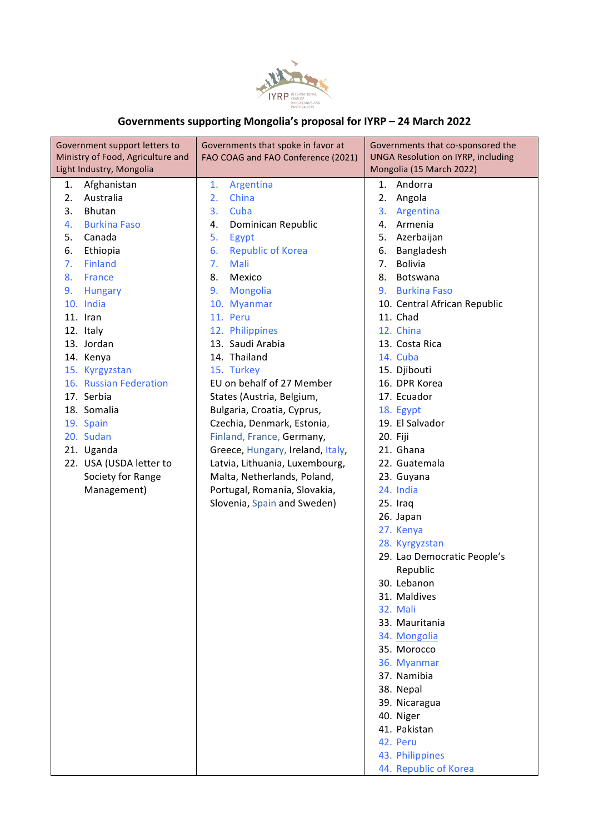

## **Governments supporting Mongolia's proposal for IYRP – 24 March 2022**

| Government support letters to<br>Ministry of Food, Agriculture and | Governments that spoke in favor at<br>FAO COAG and FAO Conference (2021) | Governments that co-sponsored the<br><b>UNGA Resolution on IYRP, including</b> |
|--------------------------------------------------------------------|--------------------------------------------------------------------------|--------------------------------------------------------------------------------|
| Light Industry, Mongolia                                           |                                                                          | Mongolia (15 March 2022)                                                       |
| Afghanistan<br>1.                                                  | 1.<br>Argentina                                                          | 1.<br>Andorra                                                                  |
| Australia<br>2.                                                    | China<br>2.                                                              | 2.<br>Angola                                                                   |
| 3.<br>Bhutan                                                       | Cuba<br>3.                                                               | Argentina<br>3.                                                                |
| <b>Burkina Faso</b><br>4.                                          | Dominican Republic<br>4.                                                 | Armenia<br>4.                                                                  |
| 5.<br>Canada                                                       | 5.<br>Egypt                                                              | 5.<br>Azerbaijan                                                               |
| 6.<br>Ethiopia                                                     | <b>Republic of Korea</b><br>6.                                           | Bangladesh<br>6.                                                               |
| Finland<br>7.                                                      | Mali<br>7.                                                               | <b>Bolivia</b><br>7.                                                           |
| 8.<br><b>France</b>                                                | 8.<br>Mexico                                                             | Botswana<br>8.                                                                 |
| <b>Hungary</b><br>9.                                               | <b>Mongolia</b><br>9.                                                    | <b>Burkina Faso</b><br>9.                                                      |
| 10. India                                                          | 10. Myanmar                                                              | 10. Central African Republic                                                   |
| 11. Iran                                                           | 11. Peru                                                                 | 11. Chad                                                                       |
| 12. Italy                                                          | 12. Philippines                                                          | 12. China                                                                      |
| 13. Jordan                                                         | 13. Saudi Arabia                                                         | 13. Costa Rica                                                                 |
| 14. Kenya                                                          | 14. Thailand                                                             | 14. Cuba                                                                       |
| 15. Kyrgyzstan                                                     | 15. Turkey                                                               | 15. Djibouti                                                                   |
| 16. Russian Federation                                             | EU on behalf of 27 Member                                                | 16. DPR Korea                                                                  |
| 17. Serbia                                                         | States (Austria, Belgium,                                                | 17. Ecuador                                                                    |
| 18. Somalia                                                        | Bulgaria, Croatia, Cyprus,                                               | 18. Egypt                                                                      |
| 19. Spain                                                          | Czechia, Denmark, Estonia,                                               | 19. El Salvador                                                                |
| 20. Sudan                                                          | Finland, France, Germany,                                                | 20. Fiji                                                                       |
| 21. Uganda                                                         | Greece, Hungary, Ireland, Italy,                                         | 21. Ghana                                                                      |
| 22. USA (USDA letter to                                            | Latvia, Lithuania, Luxembourg,                                           | 22. Guatemala                                                                  |
| Society for Range                                                  | Malta, Netherlands, Poland,                                              | 23. Guyana                                                                     |
| Management)                                                        | Portugal, Romania, Slovakia,                                             | 24. India                                                                      |
|                                                                    | Slovenia, Spain and Sweden)                                              | 25. Iraq                                                                       |
|                                                                    |                                                                          | 26. Japan                                                                      |
|                                                                    |                                                                          | 27. Kenya                                                                      |
|                                                                    |                                                                          | 28. Kyrgyzstan                                                                 |
|                                                                    |                                                                          | 29. Lao Democratic People's                                                    |
|                                                                    |                                                                          | Republic                                                                       |
|                                                                    |                                                                          | 30. Lebanon                                                                    |
|                                                                    |                                                                          | 31. Maldives                                                                   |
|                                                                    |                                                                          | 32. Mali                                                                       |
|                                                                    |                                                                          | 33. Mauritania                                                                 |
|                                                                    |                                                                          | 34. Mongolia                                                                   |
|                                                                    |                                                                          | 35. Morocco                                                                    |
|                                                                    |                                                                          | 36. Myanmar                                                                    |
|                                                                    |                                                                          | 37. Namibia                                                                    |
|                                                                    |                                                                          | 38. Nepal                                                                      |
|                                                                    |                                                                          | 39. Nicaragua                                                                  |
|                                                                    |                                                                          | 40. Niger                                                                      |
|                                                                    |                                                                          | 41. Pakistan                                                                   |
|                                                                    |                                                                          | 42. Peru                                                                       |
|                                                                    |                                                                          | 43. Philippines                                                                |
|                                                                    |                                                                          | 44. Republic of Korea                                                          |